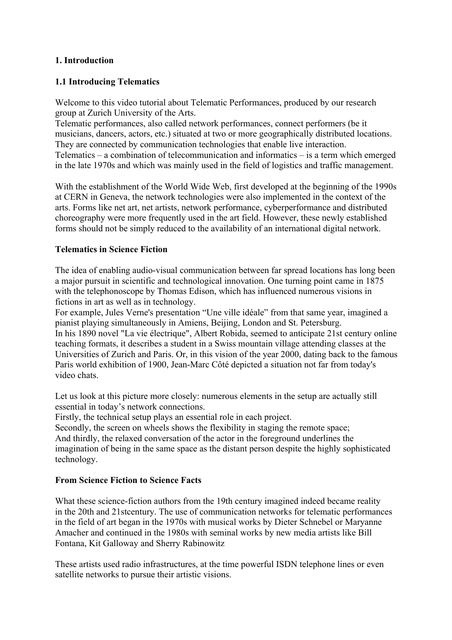# **1. Introduction**

## **1.1 Introducing Telematics**

Welcome to this video tutorial about Telematic Performances, produced by our research group at Zurich University of the Arts.

Telematic performances, also called network performances, connect performers (be it musicians, dancers, actors, etc.) situated at two or more geographically distributed locations. They are connected by communication technologies that enable live interaction. Telematics – a combination of telecommunication and informatics – is a term which emerged in the late 1970s and which was mainly used in the field of logistics and traffic management.

With the establishment of the World Wide Web, first developed at the beginning of the 1990s at CERN in Geneva, the network technologies were also implemented in the context of the arts. Forms like net art, net artists, network performance, cyberperformance and distributed choreography were more frequently used in the art field. However, these newly established forms should not be simply reduced to the availability of an international digital network.

### **Telematics in Science Fiction**

The idea of enabling audio-visual communication between far spread locations has long been a major pursuit in scientific and technological innovation. One turning point came in 1875 with the telephonoscope by Thomas Edison, which has influenced numerous visions in fictions in art as well as in technology.

For example, Jules Verne's presentation "Une ville idéale" from that same year, imagined a pianist playing simultaneously in Amiens, Beijing, London and St. Petersburg. In his 1890 novel "La vie électrique", Albert Robida, seemed to anticipate 21st century online teaching formats, it describes a student in a Swiss mountain village attending classes at the Universities of Zurich and Paris. Or, in this vision of the year 2000, dating back to the famous Paris world exhibition of 1900, Jean-Marc Côté depicted a situation not far from today's video chats.

Let us look at this picture more closely: numerous elements in the setup are actually still essential in today's network connections.

Firstly, the technical setup plays an essential role in each project.

Secondly, the screen on wheels shows the flexibility in staging the remote space; And thirdly, the relaxed conversation of the actor in the foreground underlines the imagination of being in the same space as the distant person despite the highly sophisticated technology.

#### **From Science Fiction to Science Facts**

What these science-fiction authors from the 19th century imagined indeed became reality in the 20th and 21stcentury. The use of communication networks for telematic performances in the field of art began in the 1970s with musical works by Dieter Schnebel or Maryanne Amacher and continued in the 1980s with seminal works by new media artists like Bill Fontana, Kit Galloway and Sherry Rabinowitz

These artists used radio infrastructures, at the time powerful ISDN telephone lines or even satellite networks to pursue their artistic visions.